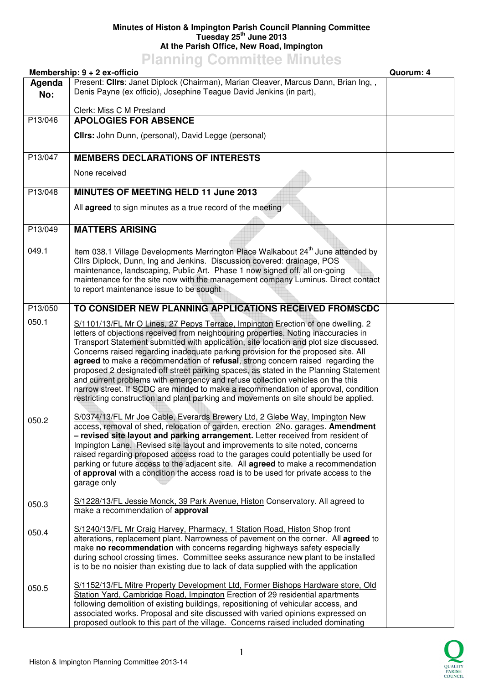## **Minutes of Histon & Impington Parish Council Planning Committee Tuesday 25th June 2013 At the Parish Office, New Road, Impington**

## **Planning Committee Minutes**

|                | Membership: 9 + 2 ex-officio                                                                                                                                                                                                                                                                                                                                                                                                                                                                                                                                                                                                                                                                                                                                                                                                                                                                                                                                                                                                                                                                                                                                                                                                                                                                                                                                                                                                   | Quorum: 4 |
|----------------|--------------------------------------------------------------------------------------------------------------------------------------------------------------------------------------------------------------------------------------------------------------------------------------------------------------------------------------------------------------------------------------------------------------------------------------------------------------------------------------------------------------------------------------------------------------------------------------------------------------------------------------------------------------------------------------------------------------------------------------------------------------------------------------------------------------------------------------------------------------------------------------------------------------------------------------------------------------------------------------------------------------------------------------------------------------------------------------------------------------------------------------------------------------------------------------------------------------------------------------------------------------------------------------------------------------------------------------------------------------------------------------------------------------------------------|-----------|
| Agenda<br>No:  | Present: Cllrs: Janet Diplock (Chairman), Marian Cleaver, Marcus Dann, Brian Ing,,<br>Denis Payne (ex officio), Josephine Teague David Jenkins (in part),                                                                                                                                                                                                                                                                                                                                                                                                                                                                                                                                                                                                                                                                                                                                                                                                                                                                                                                                                                                                                                                                                                                                                                                                                                                                      |           |
|                | Clerk: Miss C M Presland                                                                                                                                                                                                                                                                                                                                                                                                                                                                                                                                                                                                                                                                                                                                                                                                                                                                                                                                                                                                                                                                                                                                                                                                                                                                                                                                                                                                       |           |
| P13/046        | <b>APOLOGIES FOR ABSENCE</b><br>Clirs: John Dunn, (personal), David Legge (personal)                                                                                                                                                                                                                                                                                                                                                                                                                                                                                                                                                                                                                                                                                                                                                                                                                                                                                                                                                                                                                                                                                                                                                                                                                                                                                                                                           |           |
| P13/047        | <b>MEMBERS DECLARATIONS OF INTERESTS</b>                                                                                                                                                                                                                                                                                                                                                                                                                                                                                                                                                                                                                                                                                                                                                                                                                                                                                                                                                                                                                                                                                                                                                                                                                                                                                                                                                                                       |           |
|                | None received                                                                                                                                                                                                                                                                                                                                                                                                                                                                                                                                                                                                                                                                                                                                                                                                                                                                                                                                                                                                                                                                                                                                                                                                                                                                                                                                                                                                                  |           |
| P13/048        | MINUTES OF MEETING HELD 11 June 2013                                                                                                                                                                                                                                                                                                                                                                                                                                                                                                                                                                                                                                                                                                                                                                                                                                                                                                                                                                                                                                                                                                                                                                                                                                                                                                                                                                                           |           |
|                | All agreed to sign minutes as a true record of the meeting                                                                                                                                                                                                                                                                                                                                                                                                                                                                                                                                                                                                                                                                                                                                                                                                                                                                                                                                                                                                                                                                                                                                                                                                                                                                                                                                                                     |           |
| P13/049        | <b>MATTERS ARISING</b>                                                                                                                                                                                                                                                                                                                                                                                                                                                                                                                                                                                                                                                                                                                                                                                                                                                                                                                                                                                                                                                                                                                                                                                                                                                                                                                                                                                                         |           |
| 049.1          | Item 038.1 Village Developments Merrington Place Walkabout 24 <sup>th</sup> June attended by<br>Cllrs Diplock, Dunn, Ing and Jenkins. Discussion covered: drainage, POS<br>maintenance, landscaping, Public Art. Phase 1 now signed off, all on-going<br>maintenance for the site now with the management company Luminus. Direct contact<br>to report maintenance issue to be sought                                                                                                                                                                                                                                                                                                                                                                                                                                                                                                                                                                                                                                                                                                                                                                                                                                                                                                                                                                                                                                          |           |
| P13/050        | TO CONSIDER NEW PLANNING APPLICATIONS RECEIVED FROMSCDC                                                                                                                                                                                                                                                                                                                                                                                                                                                                                                                                                                                                                                                                                                                                                                                                                                                                                                                                                                                                                                                                                                                                                                                                                                                                                                                                                                        |           |
| 050.1<br>050.2 | S/1101/13/FL Mr O Lines, 27 Pepys Terrace, Impington Erection of one dwelling. 2<br>letters of objections received from neighbouring properties. Noting inaccuracies in<br>Transport Statement submitted with application, site location and plot size discussed.<br>Concerns raised regarding inadequate parking provision for the proposed site. All<br>agreed to make a recommendation of refusal, strong concern raised regarding the<br>proposed 2 designated off street parking spaces, as stated in the Planning Statement<br>and current problems with emergency and refuse collection vehicles on the this<br>narrow street. If SCDC are minded to make a recommendation of approval, condition<br>restricting construction and plant parking and movements on site should be applied.<br>S/0374/13/FL Mr Joe Cable, Everards Brewery Ltd, 2 Glebe Way, Impington New<br>access, removal of shed, relocation of garden, erection 2No. garages. Amendment<br>- revised site layout and parking arrangement. Letter received from resident of<br>Impington Lane. Revised site layout and improvements to site noted, concerns<br>raised regarding proposed access road to the garages could potentially be used for<br>parking or future access to the adjacent site. All <b>agreed</b> to make a recommendation<br>of approval with a condition the access road is to be used for private access to the<br>garage only |           |
| 050.3          | S/1228/13/FL Jessie Monck, 39 Park Avenue, Histon Conservatory. All agreed to<br>make a recommendation of approval                                                                                                                                                                                                                                                                                                                                                                                                                                                                                                                                                                                                                                                                                                                                                                                                                                                                                                                                                                                                                                                                                                                                                                                                                                                                                                             |           |
| 050.4          | S/1240/13/FL Mr Craig Harvey, Pharmacy, 1 Station Road, Histon Shop front<br>alterations, replacement plant. Narrowness of pavement on the corner. All agreed to<br>make no recommendation with concerns regarding highways safety especially<br>during school crossing times. Committee seeks assurance new plant to be installed<br>is to be no noisier than existing due to lack of data supplied with the application                                                                                                                                                                                                                                                                                                                                                                                                                                                                                                                                                                                                                                                                                                                                                                                                                                                                                                                                                                                                      |           |
| 050.5          | S/1152/13/FL Mitre Property Development Ltd, Former Bishops Hardware store, Old<br>Station Yard, Cambridge Road, Impington Erection of 29 residential apartments<br>following demolition of existing buildings, repositioning of vehicular access, and<br>associated works. Proposal and site discussed with varied opinions expressed on<br>proposed outlook to this part of the village. Concerns raised included dominating                                                                                                                                                                                                                                                                                                                                                                                                                                                                                                                                                                                                                                                                                                                                                                                                                                                                                                                                                                                                 |           |